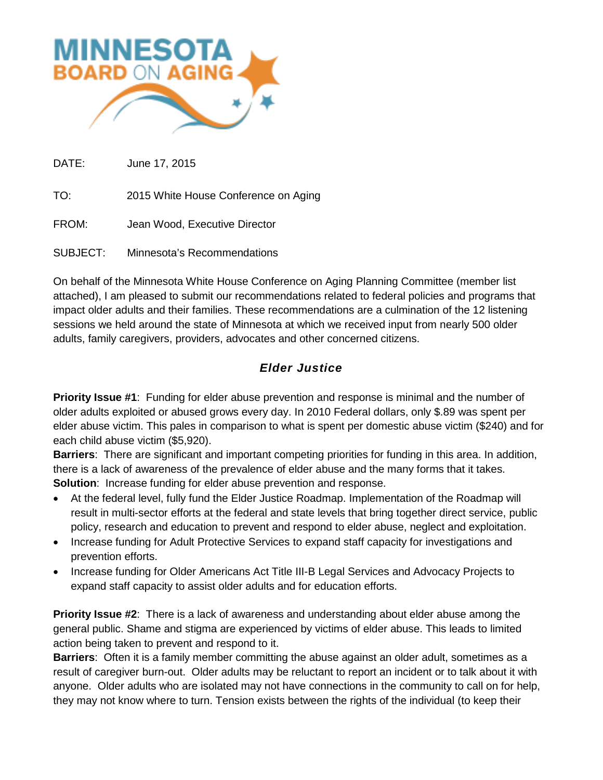

DATE: June 17, 2015

TO: 2015 White House Conference on Aging

FROM: Jean Wood, Executive Director

SUBJECT: Minnesota's Recommendations

On behalf of the Minnesota White House Conference on Aging Planning Committee (member list attached), I am pleased to submit our recommendations related to federal policies and programs that impact older adults and their families. These recommendations are a culmination of the 12 listening sessions we held around the state of Minnesota at which we received input from nearly 500 older adults, family caregivers, providers, advocates and other concerned citizens.

# *Elder Justice*

**Priority Issue #1**: Funding for elder abuse prevention and response is minimal and the number of older adults exploited or abused grows every day. In 2010 Federal dollars, only \$.89 was spent per elder abuse victim. This pales in comparison to what is spent per domestic abuse victim (\$240) and for each child abuse victim (\$5,920).

**Barriers**: There are significant and important competing priorities for funding in this area. In addition, there is a lack of awareness of the prevalence of elder abuse and the many forms that it takes. **Solution:** Increase funding for elder abuse prevention and response.

- At the federal level, fully fund the Elder Justice Roadmap. Implementation of the Roadmap will result in multi-sector efforts at the federal and state levels that bring together direct service, public policy, research and education to prevent and respond to elder abuse, neglect and exploitation.
- Increase funding for Adult Protective Services to expand staff capacity for investigations and prevention efforts.
- Increase funding for Older Americans Act Title III-B Legal Services and Advocacy Projects to expand staff capacity to assist older adults and for education efforts.

**Priority Issue #2**: There is a lack of awareness and understanding about elder abuse among the general public. Shame and stigma are experienced by victims of elder abuse. This leads to limited action being taken to prevent and respond to it.

**Barriers**: Often it is a family member committing the abuse against an older adult, sometimes as a result of caregiver burn-out. Older adults may be reluctant to report an incident or to talk about it with anyone. Older adults who are isolated may not have connections in the community to call on for help, they may not know where to turn. Tension exists between the rights of the individual (to keep their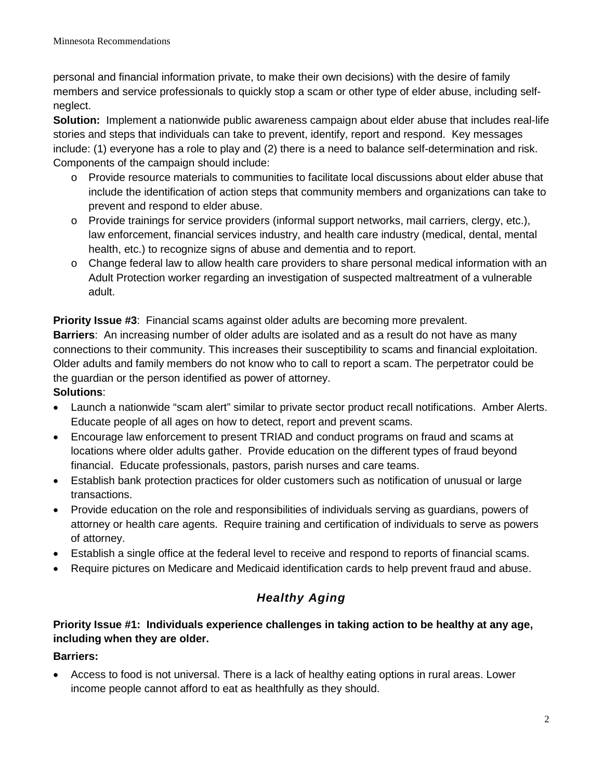personal and financial information private, to make their own decisions) with the desire of family members and service professionals to quickly stop a scam or other type of elder abuse, including selfneglect.

**Solution:** Implement a nationwide public awareness campaign about elder abuse that includes real-life stories and steps that individuals can take to prevent, identify, report and respond. Key messages include: (1) everyone has a role to play and (2) there is a need to balance self-determination and risk. Components of the campaign should include:

- o Provide resource materials to communities to facilitate local discussions about elder abuse that include the identification of action steps that community members and organizations can take to prevent and respond to elder abuse.
- o Provide trainings for service providers (informal support networks, mail carriers, clergy, etc.), law enforcement, financial services industry, and health care industry (medical, dental, mental health, etc.) to recognize signs of abuse and dementia and to report.
- o Change federal law to allow health care providers to share personal medical information with an Adult Protection worker regarding an investigation of suspected maltreatment of a vulnerable adult.

**Priority Issue #3**: Financial scams against older adults are becoming more prevalent.

**Barriers**: An increasing number of older adults are isolated and as a result do not have as many connections to their community. This increases their susceptibility to scams and financial exploitation. Older adults and family members do not know who to call to report a scam. The perpetrator could be the guardian or the person identified as power of attorney. **Solutions**:

- Launch a nationwide "scam alert" similar to private sector product recall notifications. Amber Alerts. Educate people of all ages on how to detect, report and prevent scams.
- Encourage law enforcement to present TRIAD and conduct programs on fraud and scams at locations where older adults gather. Provide education on the different types of fraud beyond financial. Educate professionals, pastors, parish nurses and care teams.
- Establish bank protection practices for older customers such as notification of unusual or large transactions.
- Provide education on the role and responsibilities of individuals serving as guardians, powers of attorney or health care agents. Require training and certification of individuals to serve as powers of attorney.
- Establish a single office at the federal level to receive and respond to reports of financial scams.
- Require pictures on Medicare and Medicaid identification cards to help prevent fraud and abuse.

# *Healthy Aging*

### **Priority Issue #1: Individuals experience challenges in taking action to be healthy at any age, including when they are older.**

#### **Barriers:**

• Access to food is not universal. There is a lack of healthy eating options in rural areas. Lower income people cannot afford to eat as healthfully as they should.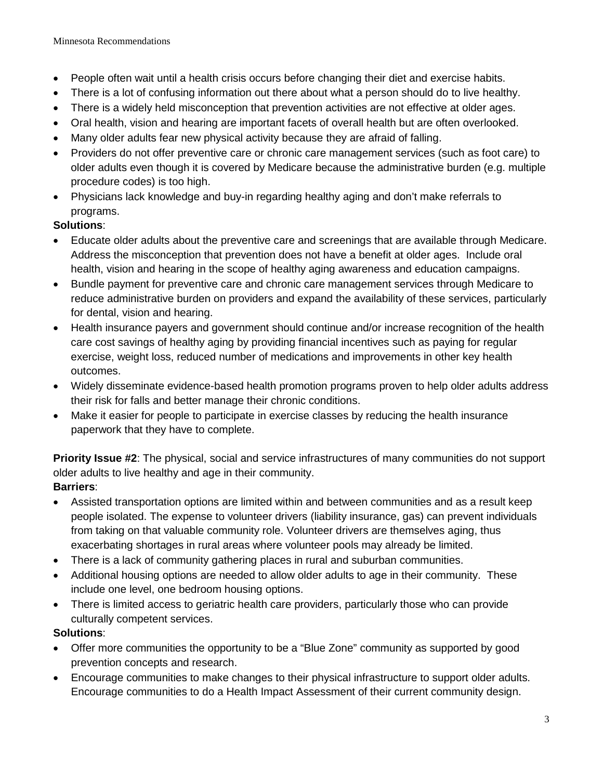- People often wait until a health crisis occurs before changing their diet and exercise habits.
- There is a lot of confusing information out there about what a person should do to live healthy.
- There is a widely held misconception that prevention activities are not effective at older ages.
- Oral health, vision and hearing are important facets of overall health but are often overlooked.
- Many older adults fear new physical activity because they are afraid of falling.
- Providers do not offer preventive care or chronic care management services (such as foot care) to older adults even though it is covered by Medicare because the administrative burden (e.g. multiple procedure codes) is too high.
- Physicians lack knowledge and buy-in regarding healthy aging and don't make referrals to programs.

# **Solutions**:

- Educate older adults about the preventive care and screenings that are available through Medicare. Address the misconception that prevention does not have a benefit at older ages. Include oral health, vision and hearing in the scope of healthy aging awareness and education campaigns.
- Bundle payment for preventive care and chronic care management services through Medicare to reduce administrative burden on providers and expand the availability of these services, particularly for dental, vision and hearing.
- Health insurance payers and government should continue and/or increase recognition of the health care cost savings of healthy aging by providing financial incentives such as paying for regular exercise, weight loss, reduced number of medications and improvements in other key health outcomes.
- Widely disseminate evidence-based health promotion programs proven to help older adults address their risk for falls and better manage their chronic conditions.
- Make it easier for people to participate in exercise classes by reducing the health insurance paperwork that they have to complete.

**Priority Issue #2**: The physical, social and service infrastructures of many communities do not support older adults to live healthy and age in their community. **Barriers**:

- Assisted transportation options are limited within and between communities and as a result keep people isolated. The expense to volunteer drivers (liability insurance, gas) can prevent individuals from taking on that valuable community role. Volunteer drivers are themselves aging, thus exacerbating shortages in rural areas where volunteer pools may already be limited.
- There is a lack of community gathering places in rural and suburban communities.
- Additional housing options are needed to allow older adults to age in their community. These include one level, one bedroom housing options.
- There is limited access to geriatric health care providers, particularly those who can provide culturally competent services.

- Offer more communities the opportunity to be a "Blue Zone" community as supported by good prevention concepts and research.
- Encourage communities to make changes to their physical infrastructure to support older adults. Encourage communities to do a Health Impact Assessment of their current community design.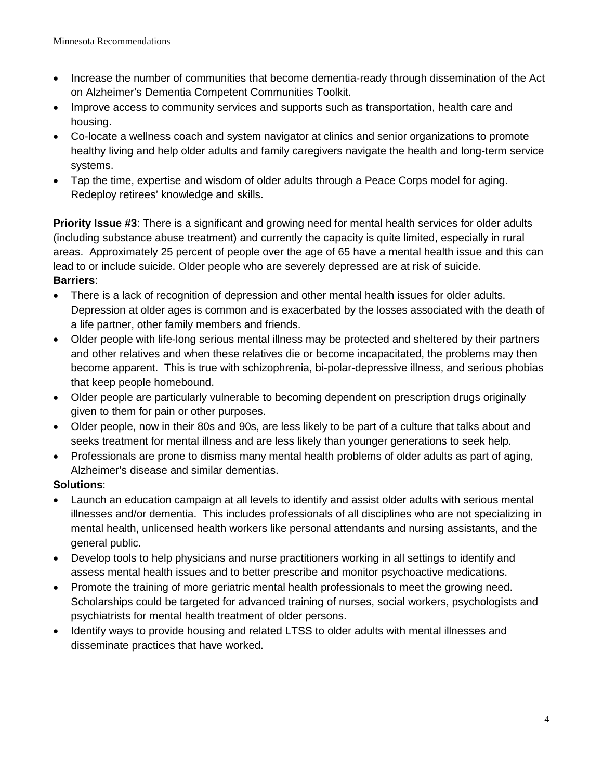- Increase the number of communities that become dementia-ready through dissemination of the Act on Alzheimer's Dementia Competent Communities Toolkit.
- Improve access to community services and supports such as transportation, health care and housing.
- Co-locate a wellness coach and system navigator at clinics and senior organizations to promote healthy living and help older adults and family caregivers navigate the health and long-term service systems.
- Tap the time, expertise and wisdom of older adults through a Peace Corps model for aging. Redeploy retirees' knowledge and skills.

**Priority Issue #3**: There is a significant and growing need for mental health services for older adults (including substance abuse treatment) and currently the capacity is quite limited, especially in rural areas. Approximately 25 percent of people over the age of 65 have a mental health issue and this can lead to or include suicide. Older people who are severely depressed are at risk of suicide. **Barriers**:

- There is a lack of recognition of depression and other mental health issues for older adults. Depression at older ages is common and is exacerbated by the losses associated with the death of a life partner, other family members and friends.
- Older people with life-long serious mental illness may be protected and sheltered by their partners and other relatives and when these relatives die or become incapacitated, the problems may then become apparent. This is true with schizophrenia, bi-polar-depressive illness, and serious phobias that keep people homebound.
- Older people are particularly vulnerable to becoming dependent on prescription drugs originally given to them for pain or other purposes.
- Older people, now in their 80s and 90s, are less likely to be part of a culture that talks about and seeks treatment for mental illness and are less likely than younger generations to seek help.
- Professionals are prone to dismiss many mental health problems of older adults as part of aging, Alzheimer's disease and similar dementias.

- Launch an education campaign at all levels to identify and assist older adults with serious mental illnesses and/or dementia. This includes professionals of all disciplines who are not specializing in mental health, unlicensed health workers like personal attendants and nursing assistants, and the general public.
- Develop tools to help physicians and nurse practitioners working in all settings to identify and assess mental health issues and to better prescribe and monitor psychoactive medications.
- Promote the training of more geriatric mental health professionals to meet the growing need. Scholarships could be targeted for advanced training of nurses, social workers, psychologists and psychiatrists for mental health treatment of older persons.
- Identify ways to provide housing and related LTSS to older adults with mental illnesses and disseminate practices that have worked.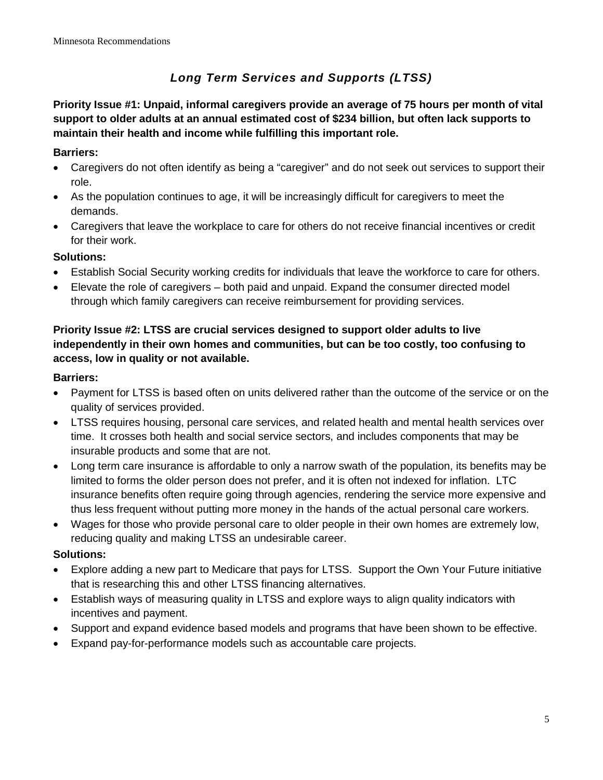# *Long Term Services and Supports (LTSS)*

**Priority Issue #1: Unpaid, informal caregivers provide an average of 75 hours per month of vital support to older adults at an annual estimated cost of \$234 billion, but often lack supports to maintain their health and income while fulfilling this important role.**

### **Barriers:**

- Caregivers do not often identify as being a "caregiver" and do not seek out services to support their role.
- As the population continues to age, it will be increasingly difficult for caregivers to meet the demands.
- Caregivers that leave the workplace to care for others do not receive financial incentives or credit for their work.

## **Solutions:**

- Establish Social Security working credits for individuals that leave the workforce to care for others.
- Elevate the role of caregivers both paid and unpaid. Expand the consumer directed model through which family caregivers can receive reimbursement for providing services.

### **Priority Issue #2: LTSS are crucial services designed to support older adults to live independently in their own homes and communities, but can be too costly, too confusing to access, low in quality or not available.**

### **Barriers:**

- Payment for LTSS is based often on units delivered rather than the outcome of the service or on the quality of services provided.
- LTSS requires housing, personal care services, and related health and mental health services over time. It crosses both health and social service sectors, and includes components that may be insurable products and some that are not.
- Long term care insurance is affordable to only a narrow swath of the population, its benefits may be limited to forms the older person does not prefer, and it is often not indexed for inflation. LTC insurance benefits often require going through agencies, rendering the service more expensive and thus less frequent without putting more money in the hands of the actual personal care workers.
- Wages for those who provide personal care to older people in their own homes are extremely low, reducing quality and making LTSS an undesirable career.

- Explore adding a new part to Medicare that pays for LTSS. Support the Own Your Future initiative that is researching this and other LTSS financing alternatives.
- Establish ways of measuring quality in LTSS and explore ways to align quality indicators with incentives and payment.
- Support and expand evidence based models and programs that have been shown to be effective.
- Expand pay-for-performance models such as accountable care projects.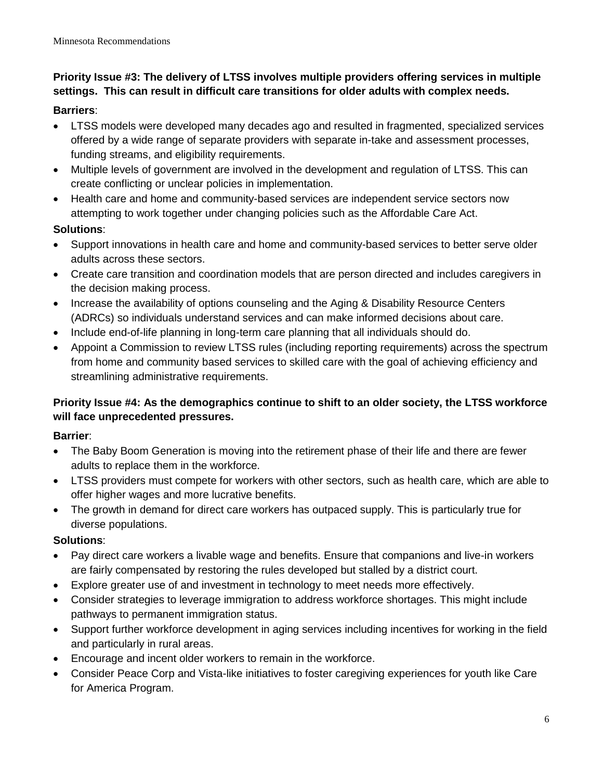# **Priority Issue #3: The delivery of LTSS involves multiple providers offering services in multiple settings. This can result in difficult care transitions for older adults with complex needs.**

### **Barriers**:

- LTSS models were developed many decades ago and resulted in fragmented, specialized services offered by a wide range of separate providers with separate in-take and assessment processes, funding streams, and eligibility requirements.
- Multiple levels of government are involved in the development and regulation of LTSS. This can create conflicting or unclear policies in implementation.
- Health care and home and community-based services are independent service sectors now attempting to work together under changing policies such as the Affordable Care Act.

## **Solutions**:

- Support innovations in health care and home and community-based services to better serve older adults across these sectors.
- Create care transition and coordination models that are person directed and includes caregivers in the decision making process.
- Increase the availability of options counseling and the Aging & Disability Resource Centers (ADRCs) so individuals understand services and can make informed decisions about care.
- Include end-of-life planning in long-term care planning that all individuals should do.
- Appoint a Commission to review LTSS rules (including reporting requirements) across the spectrum from home and community based services to skilled care with the goal of achieving efficiency and streamlining administrative requirements.

### **Priority Issue #4: As the demographics continue to shift to an older society, the LTSS workforce will face unprecedented pressures.**

## **Barrier**:

- The Baby Boom Generation is moving into the retirement phase of their life and there are fewer adults to replace them in the workforce.
- LTSS providers must compete for workers with other sectors, such as health care, which are able to offer higher wages and more lucrative benefits.
- The growth in demand for direct care workers has outpaced supply. This is particularly true for diverse populations.

- Pay direct care workers a livable wage and benefits. Ensure that companions and live-in workers are fairly compensated by restoring the rules developed but stalled by a district court.
- Explore greater use of and investment in technology to meet needs more effectively.
- Consider strategies to leverage immigration to address workforce shortages. This might include pathways to permanent immigration status.
- Support further workforce development in aging services including incentives for working in the field and particularly in rural areas.
- Encourage and incent older workers to remain in the workforce.
- Consider Peace Corp and Vista-like initiatives to foster caregiving experiences for youth like Care for America Program.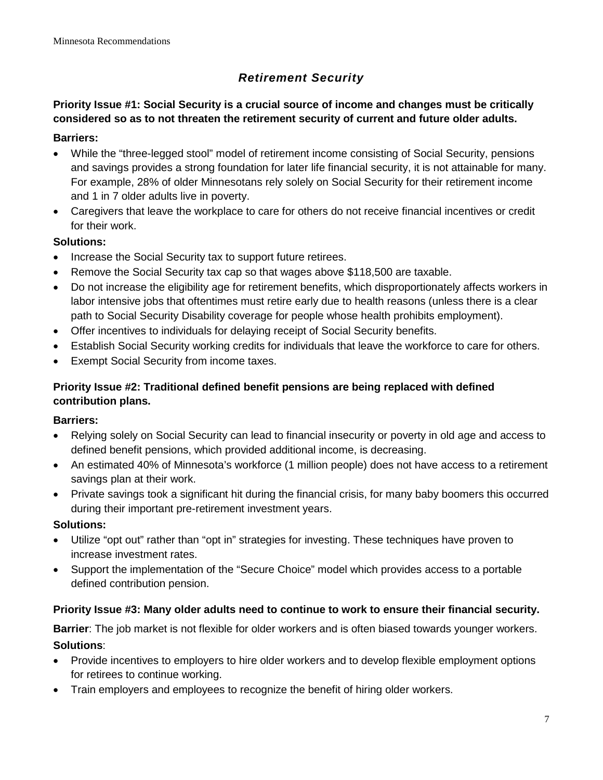# *Retirement Security*

## **Priority Issue #1: Social Security is a crucial source of income and changes must be critically considered so as to not threaten the retirement security of current and future older adults.**

#### **Barriers:**

- While the "three-legged stool" model of retirement income consisting of Social Security, pensions and savings provides a strong foundation for later life financial security, it is not attainable for many. For example, 28% of older Minnesotans rely solely on Social Security for their retirement income and 1 in 7 older adults live in poverty.
- Caregivers that leave the workplace to care for others do not receive financial incentives or credit for their work.

## **Solutions:**

- Increase the Social Security tax to support future retirees.
- Remove the Social Security tax cap so that wages above \$118,500 are taxable.
- Do not increase the eligibility age for retirement benefits, which disproportionately affects workers in labor intensive jobs that oftentimes must retire early due to health reasons (unless there is a clear path to Social Security Disability coverage for people whose health prohibits employment).
- Offer incentives to individuals for delaying receipt of Social Security benefits.
- Establish Social Security working credits for individuals that leave the workforce to care for others.
- Exempt Social Security from income taxes.

### **Priority Issue #2: Traditional defined benefit pensions are being replaced with defined contribution plans.**

#### **Barriers:**

- Relying solely on Social Security can lead to financial insecurity or poverty in old age and access to defined benefit pensions, which provided additional income, is decreasing.
- An estimated 40% of Minnesota's workforce (1 million people) does not have access to a retirement savings plan at their work.
- Private savings took a significant hit during the financial crisis, for many baby boomers this occurred during their important pre-retirement investment years.

## **Solutions:**

- Utilize "opt out" rather than "opt in" strategies for investing. These techniques have proven to increase investment rates.
- Support the implementation of the "Secure Choice" model which provides access to a portable defined contribution pension.

#### **Priority Issue #3: Many older adults need to continue to work to ensure their financial security.**

**Barrier**: The job market is not flexible for older workers and is often biased towards younger workers. **Solutions**:

- Provide incentives to employers to hire older workers and to develop flexible employment options for retirees to continue working.
- Train employers and employees to recognize the benefit of hiring older workers.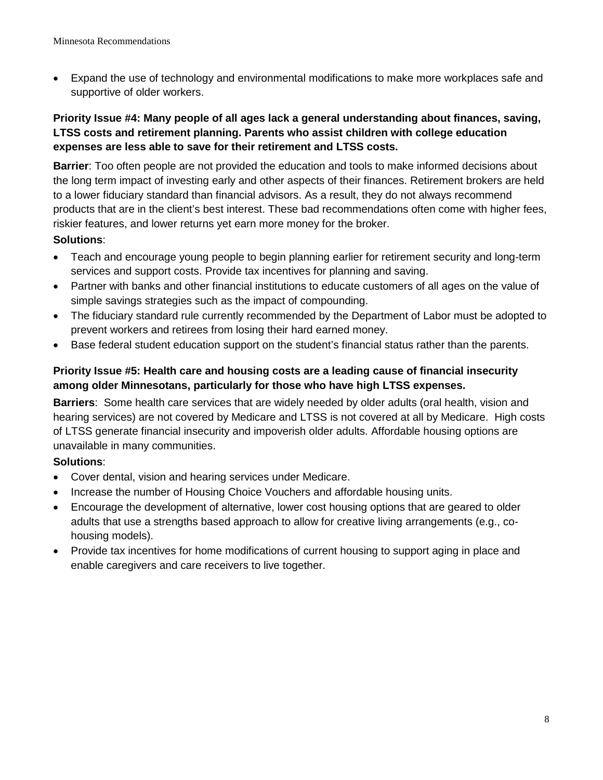• Expand the use of technology and environmental modifications to make more workplaces safe and supportive of older workers.

### **Priority Issue #4: Many people of all ages lack a general understanding about finances, saving, LTSS costs and retirement planning. Parents who assist children with college education expenses are less able to save for their retirement and LTSS costs.**

**Barrier**: Too often people are not provided the education and tools to make informed decisions about the long term impact of investing early and other aspects of their finances. Retirement brokers are held to a lower fiduciary standard than financial advisors. As a result, they do not always recommend products that are in the client's best interest. These bad recommendations often come with higher fees, riskier features, and lower returns yet earn more money for the broker.

#### **Solutions**:

- Teach and encourage young people to begin planning earlier for retirement security and long-term services and support costs. Provide tax incentives for planning and saving.
- Partner with banks and other financial institutions to educate customers of all ages on the value of simple savings strategies such as the impact of compounding.
- The fiduciary standard rule currently recommended by the Department of Labor must be adopted to prevent workers and retirees from losing their hard earned money.
- Base federal student education support on the student's financial status rather than the parents.

### **Priority Issue #5: Health care and housing costs are a leading cause of financial insecurity among older Minnesotans, particularly for those who have high LTSS expenses.**

**Barriers**: Some health care services that are widely needed by older adults (oral health, vision and hearing services) are not covered by Medicare and LTSS is not covered at all by Medicare. High costs of LTSS generate financial insecurity and impoverish older adults. Affordable housing options are unavailable in many communities.

- Cover dental, vision and hearing services under Medicare.
- Increase the number of Housing Choice Vouchers and affordable housing units.
- Encourage the development of alternative, lower cost housing options that are geared to older adults that use a strengths based approach to allow for creative living arrangements (e.g., cohousing models).
- Provide tax incentives for home modifications of current housing to support aging in place and enable caregivers and care receivers to live together.